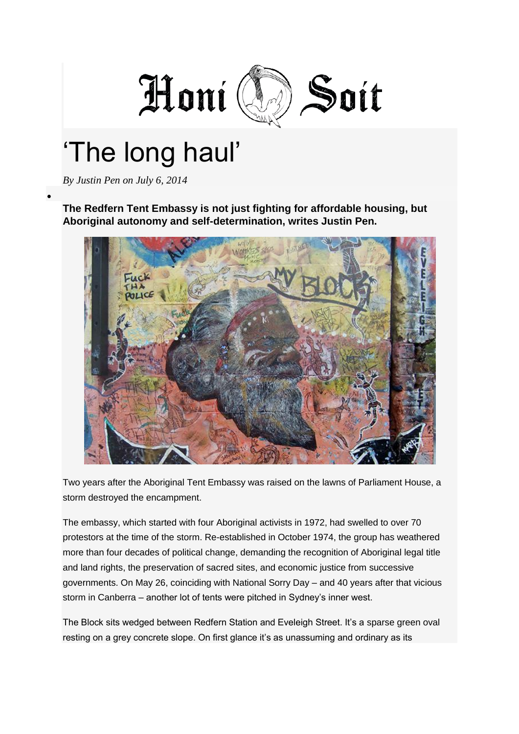

## "The long haul"

*By [Justin Pen](http://honisoit.com/author/justin-pen/) on July 6, 2014*

**The Redfern Tent Embassy is not just fighting for affordable housing, but Aboriginal autonomy and self-determination, writes Justin Pen.**



Two years after the Aboriginal Tent Embassy was raised on the lawns of Parliament House, a storm destroyed the encampment.

The embassy, which started with four Aboriginal activists in 1972, had swelled to over 70 protestors at the time of the storm. Re-established in October 1974, the group has weathered more than four decades of political change, demanding the recognition of Aboriginal legal title and land rights, the preservation of sacred sites, and economic justice from successive governments. On May 26, coinciding with National Sorry Day – and 40 years after that vicious storm in Canberra – another lot of tents were pitched in Sydney"s inner west.

The Block sits wedged between Redfern Station and Eveleigh Street. It's a sparse green oval resting on a grey concrete slope. On first glance it's as unassuming and ordinary as its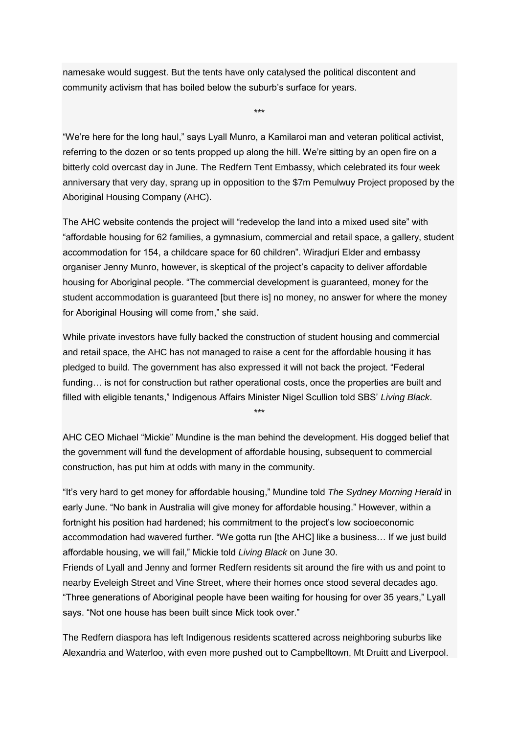namesake would suggest. But the tents have only catalysed the political discontent and community activism that has boiled below the suburb"s surface for years.

"We"re here for the long haul," says Lyall Munro, a Kamilaroi man and veteran political activist, referring to the dozen or so tents propped up along the hill. We're sitting by an open fire on a bitterly cold overcast day in June. The Redfern Tent Embassy, which celebrated its four week anniversary that very day, sprang up in opposition to the \$7m Pemulwuy Project proposed by the Aboriginal Housing Company (AHC).

\*\*\*

The AHC website contends the project will "redevelop the land into a mixed used site" with "affordable housing for 62 families, a gymnasium, commercial and retail space, a gallery, student accommodation for 154, a childcare space for 60 children". Wiradjuri Elder and embassy organiser Jenny Munro, however, is skeptical of the project"s capacity to deliver affordable housing for Aboriginal people. "The commercial development is guaranteed, money for the student accommodation is guaranteed [but there is] no money, no answer for where the money for Aboriginal Housing will come from," she said.

While private investors have fully backed the construction of student housing and commercial and retail space, the AHC has not managed to raise a cent for the affordable housing it has pledged to build. The government has also expressed it will not back the project. "Federal funding... is not for construction but rather operational costs, once the properties are built and filled with eligible tenants," Indigenous Affairs Minister Nigel Scullion told SBS" *[Living Black](http://www.sbs.com.au/shows/livingblack)*.

AHC CEO Michael "Mickie" Mundine is the man behind the development. His dogged belief that the government will fund the development of affordable housing, subsequent to commercial construction, has put him at odds with many in the community.

\*\*\*

"It"s very hard to get money for affordable housing," Mundine told *[The Sydney Morning Herald](http://www.smh.com.au/nsw/after-four-decades-redferns-dream-in-tatters-20140613-zs6qw.html)* in early June. "No bank in Australia will give money for affordable housing." However, within a fortnight his position had hardened; his commitment to the project's low socioeconomic accommodation had wavered further. "We gotta run [the AHC] like a business… If we just build affordable housing, we will fail," Mickie told *Living Black* on June 30.

Friends of Lyall and Jenny and former Redfern residents sit around the fire with us and point to nearby Eveleigh Street and Vine Street, where their homes once stood several decades ago. "Three generations of Aboriginal people have been waiting for housing for over 35 years," Lyall says. "Not one house has been built since Mick took over."

The Redfern diaspora has left Indigenous residents scattered across neighboring suburbs like Alexandria and Waterloo, with even more pushed out to Campbelltown, Mt Druitt and Liverpool.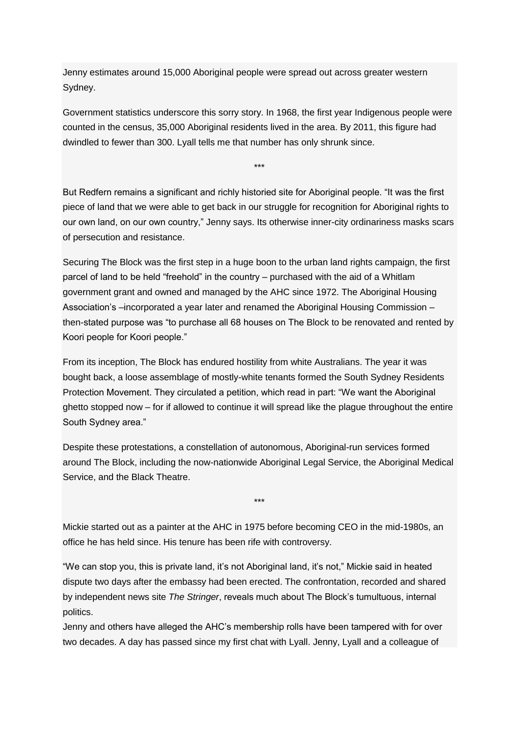Jenny estimates around 15,000 Aboriginal people were spread out across greater western Sydney.

Government statistics underscore this sorry story. In 1968, the first year Indigenous people were counted in the census, 35,000 Aboriginal residents lived in the area. By 2011, this figure had dwindled to fewer than 300. Lyall tells me that number has only shrunk since.

\*\*\*

But Redfern remains a significant and richly historied site for Aboriginal people. "It was the first piece of land that we were able to get back in our struggle for recognition for Aboriginal rights to our own land, on our own country," Jenny says. Its otherwise inner-city ordinariness masks scars of persecution and resistance.

Securing The Block was the first step in a huge boon to the urban land rights campaign, the first parcel of land to be held "freehold" in the country – purchased with the aid of a Whitlam government grant and owned and managed by the AHC since 1972. The Aboriginal Housing Association"s –incorporated a year later and renamed the Aboriginal Housing Commission – then-stated purpose was "to purchase all 68 houses on The Block to be renovated and rented by Koori people for Koori people."

From its inception, The Block has endured hostility from white Australians. The year it was bought back, a loose assemblage of mostly-white tenants formed the South Sydney Residents Protection Movement. They circulated a petition, which read in part: "We want the Aboriginal ghetto stopped now – for if allowed to continue it will spread like the plague throughout the entire South Sydney area."

Despite these protestations, a constellation of autonomous, Aboriginal-run services formed around The Block, including the now-nationwide Aboriginal Legal Service, the Aboriginal Medical Service, and the Black Theatre.

\*\*\*

Mickie started out as a painter at the AHC in 1975 before becoming CEO in the mid-1980s, an office he has held since. His tenure has been rife with controversy.

"We can stop you, this is private land, it"s not Aboriginal land, it"s not," Mickie said in heated dispute two days after the embassy had been erected. The confrontation, recorded and shared by independent news site *[The Stringer](https://soundcloud.com/the-stringer/confrontation-at-the-block-mick-mundine-and-jenny-munro)*, reveals much about The Block"s tumultuous, internal politics.

Jenny and others have alleged the AHC"s membership rolls have been tampered with for over two decades. A day has passed since my first chat with Lyall. Jenny, Lyall and a colleague of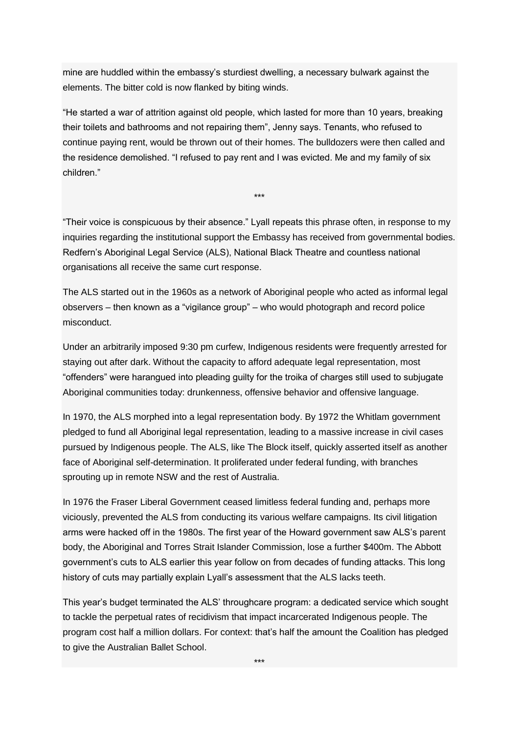mine are huddled within the embassy"s sturdiest dwelling, a necessary bulwark against the elements. The bitter cold is now flanked by biting winds.

"He started a war of attrition against old people, which lasted for more than 10 years, breaking their toilets and bathrooms and not repairing them", Jenny says. Tenants, who refused to continue paying rent, would be thrown out of their homes. The bulldozers were then called and the residence demolished. "I refused to pay rent and I was evicted. Me and my family of six children."

"Their voice is conspicuous by their absence." Lyall repeats this phrase often, in response to my inquiries regarding the institutional support the Embassy has received from governmental bodies. Redfern"s Aboriginal Legal Service (ALS), National Black Theatre and countless national organisations all receive the same curt response.

\*\*\*

The ALS started out in the 1960s as a network of Aboriginal people who acted as informal legal observers – then known as a "vigilance group" – who would photograph and record police misconduct.

Under an arbitrarily imposed 9:30 pm curfew, Indigenous residents were frequently arrested for staying out after dark. Without the capacity to afford adequate legal representation, most "offenders" were harangued into pleading guilty for the troika of charges still used to subjugate Aboriginal communities today: drunkenness, offensive behavior and offensive language.

In 1970, the ALS morphed into a legal representation body. By 1972 the Whitlam government pledged to fund all Aboriginal legal representation, leading to a massive increase in civil cases pursued by Indigenous people. The ALS, like The Block itself, quickly asserted itself as another face of Aboriginal self-determination. It proliferated under federal funding, with branches sprouting up in remote NSW and the rest of Australia.

In 1976 the Fraser Liberal Government ceased limitless federal funding and, perhaps more viciously, prevented the ALS from conducting its various welfare campaigns. Its civil litigation arms were hacked off in the 1980s. The first year of the Howard government saw ALS"s parent body, the Aboriginal and Torres Strait Islander Commission, lose a further \$400m. The Abbott government"s cuts to ALS earlier this year follow on from decades of funding attacks. This long history of cuts may partially explain Lyall"s assessment that the ALS lacks teeth.

This year"s budget terminated the ALS" throughcare program: a dedicated service which sought to tackle the perpetual rates of recidivism that impact incarcerated Indigenous people. The program cost half a million dollars. For context: that"s half the amount the Coalition has pledged to give the [Australian Ballet School.](http://www.smh.com.au/business/federal-budget/ballet-school-the-only-arts-sector-winner-20140514-zrcmz.html)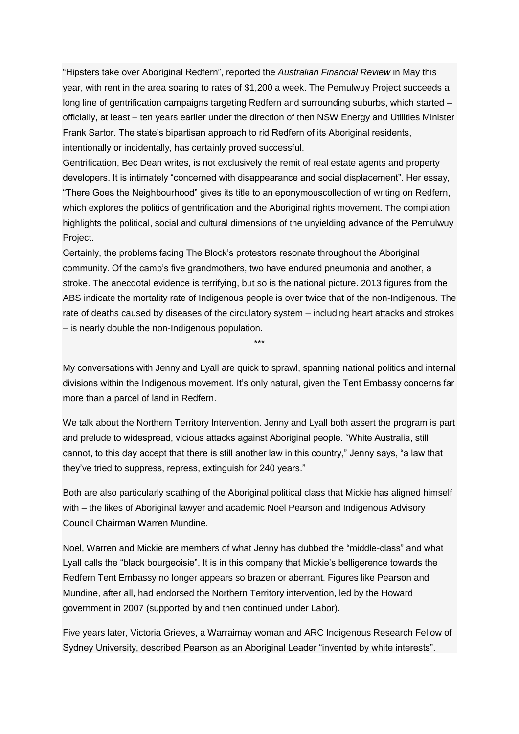"Hipsters take over Aboriginal Redfern", reported the *[Australian Financial Review](http://www.afr.com/p/business/property/hipsters_take_over_aboriginal_redfern_CwY5XylUV9MYqg7veMp8IJ)* in May this year, with rent in the area soaring to rates of \$1,200 a week. The Pemulwuy Project succeeds a long line of gentrification campaigns targeting Redfern and surrounding suburbs, which started – officially, at least – ten years earlier under the direction of then NSW Energy and Utilities Minister Frank Sartor. The state"s bipartisan approach to rid Redfern of its Aboriginal residents, intentionally or incidentally, has certainly proved successful.

Gentrification, Bec Dean writes, is not exclusively the remit of real estate agents and property developers. It is intimately "concerned with disappearance and social displacement". Her essay, "There Goes the Neighbourhood" gives its title to an eponymou[scollection of writing](http://www.theregoestheneighbourhood.org/TGTN-eBook.pdf) on Redfern, which explores the politics of gentrification and the Aboriginal rights movement. The compilation highlights the political, social and cultural dimensions of the unyielding advance of the Pemulwuy Project.

Certainly, the problems facing The Block"s protestors resonate throughout the Aboriginal community. Of the camp"s five grandmothers, two have endured pneumonia and another, a stroke. The anecdotal evidence is terrifying, but so is the national picture. 2013 [figures](http://www.theguardian.com/news/datablog/2013/jun/04/indigenous-death-rates-statistics?guni=Article:in%20body%20link) from the ABS indicate the mortality rate of Indigenous people is over twice that of the non-Indigenous. The rate of deaths caused by diseases of the circulatory system – including heart attacks and strokes – is nearly double the non-Indigenous population.

My conversations with Jenny and Lyall are quick to sprawl, spanning national politics and internal divisions within the Indigenous movement. It's only natural, given the Tent Embassy concerns far more than a parcel of land in Redfern.

\*\*\*

We talk about the Northern Territory Intervention. Jenny and Lyall both assert the program is part and prelude to widespread, vicious attacks against Aboriginal people. "White Australia, still cannot, to this day accept that there is still another law in this country," Jenny says, "a law that they"ve tried to suppress, repress, extinguish for 240 years."

Both are also particularly scathing of the Aboriginal political class that Mickie has aligned himself with – the likes of Aboriginal lawyer and academic Noel Pearson and Indigenous Advisory Council Chairman Warren Mundine.

Noel, Warren and Mickie are members of what Jenny has dubbed the "middle-class" and what Lyall calls the "black bourgeoisie". It is in this company that Mickie"s belligerence towards the Redfern Tent Embassy no longer appears so brazen or aberrant. Figures like Pearson and Mundine, after all, had endorsed the Northern Territory intervention, led by the Howard government in 2007 (supported by and then continued under Labor).

Five years later, [Victoria Grieves,](http://www.crikey.com.au/2012/08/30/the-rise-and-fall-of-pearson-a-product-of-the-times/) a Warraimay woman and ARC Indigenous Research Fellow of Sydney University, described Pearson as an Aboriginal Leader "invented by white interests".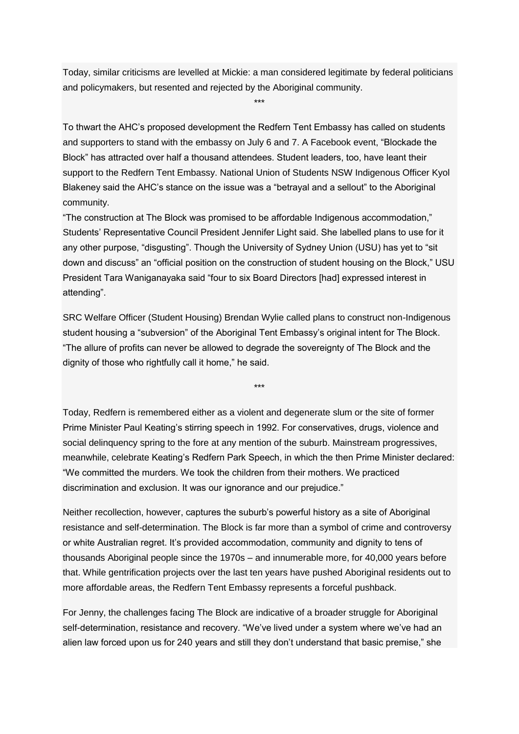Today, similar criticisms are levelled at Mickie: a man considered legitimate by federal politicians and policymakers, but resented and rejected by the Aboriginal community.

\*\*\*

To thwart the AHC"s proposed development the Redfern Tent Embassy has called on students and supporters to stand with the embassy on July 6 and 7. A [Facebook event,](https://www.facebook.com/events/317862701709817/?notif_t=plan_user_joined) "Blockade the Block" has attracted over half a thousand attendees. Student leaders, too, have leant their support to the Redfern Tent Embassy. National Union of Students NSW Indigenous Officer Kyol Blakeney said the AHC"s stance on the issue was a "betrayal and a sellout" to the Aboriginal community.

"The construction at The Block was promised to be affordable Indigenous accommodation," Students" Representative Council President Jennifer Light said. She labelled plans to use for it any other purpose, "disgusting". Though the University of Sydney Union (USU) has yet to "sit down and discuss" an "official position on the construction of student housing on the Block," USU President Tara Waniganayaka said "four to six Board Directors [had] expressed interest in attending".

SRC Welfare Officer (Student Housing) Brendan Wylie called plans to construct non-Indigenous student housing a "subversion" of the Aboriginal Tent Embassy"s original intent for The Block. "The allure of profits can never be allowed to degrade the sovereignty of The Block and the dignity of those who rightfully call it home," he said.

\*\*\*

Today, Redfern is remembered either as a violent and degenerate slum or the site of former Prime Minister Paul Keating"s stirring speech in 1992. For conservatives, drugs, violence and social delinquency spring to the fore at any mention of the suburb. Mainstream progressives, meanwhile, celebrate Keating"s Redfern Park Speech, in which the then Prime Minister declared: "We committed the murders. We took the children from their mothers. We practiced discrimination and exclusion. It was our ignorance and our prejudice."

Neither recollection, however, captures the suburb"s powerful history as a site of Aboriginal resistance and self-determination. The Block is far more than a symbol of crime and controversy or white Australian regret. It"s provided accommodation, community and dignity to tens of thousands Aboriginal people since the 1970s – and innumerable more, for 40,000 years before that. While gentrification projects over the last ten years have pushed Aboriginal residents out to more affordable areas, the Redfern Tent Embassy represents a forceful pushback.

For Jenny, the challenges facing The Block are indicative of a broader struggle for Aboriginal self-determination, resistance and recovery. "We've lived under a system where we've had an alien law forced upon us for 240 years and still they don"t understand that basic premise," she